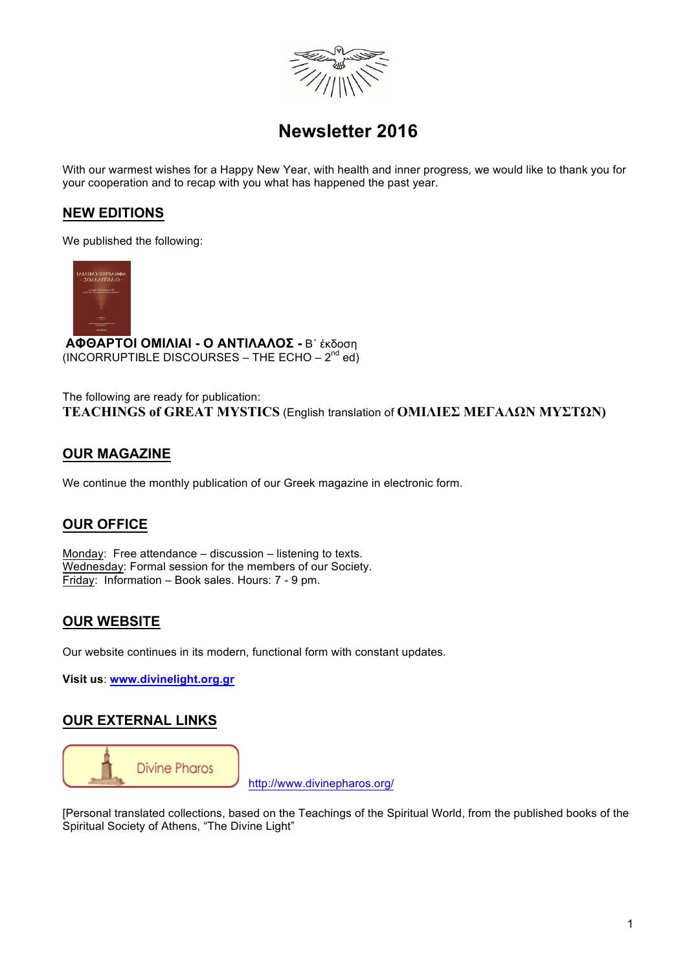

# **Newsletter 2016**

With our warmest wishes for a Happy New Year, with health and inner progress, we would like to thank you for your cooperation and to recap with you what has happened the past year.

# **NEW EDITIONS**

We published the following:



 **ΑΦΘΑΡΤΟΙ ΟΜΙΛΙΑΙ - Ο ΑΝΤΙΛΑΛΟΣ -** Β΄ έκδοση (INCORRUPTIBLE DISCOURSES – THE ECHO –  $2^{nd}$  ed)

The following are ready for publication: **TEACHINGS of GREAT MYSTICS** (English translation of **ΟΜΙΛΙΕΣ ΜΕΓΑΛΩΝ ΜΥΣΤΩΝ)**

#### **OUR MAGAZINE**

We continue the monthly publication of our Greek magazine in electronic form.

# **OUR OFFICE**

Monday: Free attendance – discussion – listening to texts. Wednesday: Formal session for the members of our Society. Friday: Information – Book sales. Hours: 7 - 9 pm.

#### **OUR WEBSITE**

Our website continues in its modern, functional form with constant updates.

**Visit us**: **www.divinelight.org.gr**

#### **OUR EXTERNAL LINKS**



http://www.divinepharos.org/

[Personal translated collections, based on the Teachings of the Spiritual World, from the published books of the Spiritual Society of Athens, "The Divine Light"